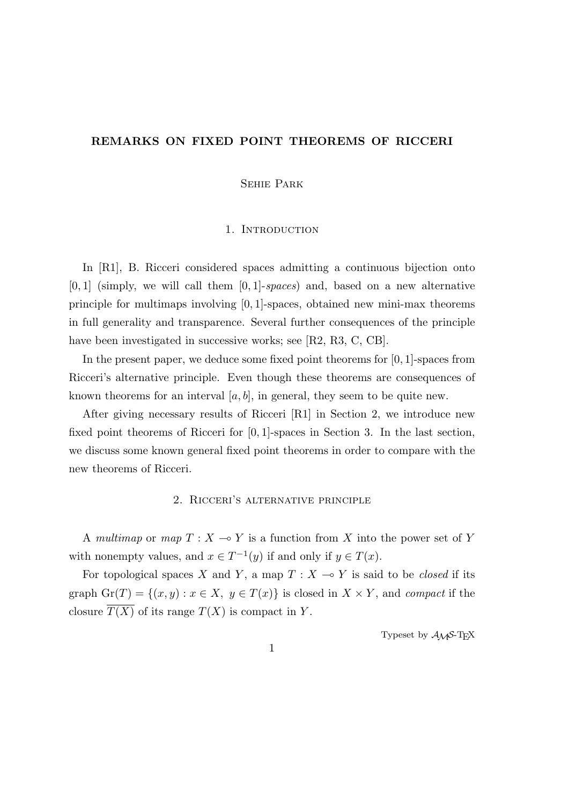### **REMARKS ON FIXED POINT THEOREMS OF RICCERI**

Sehie Park

### 1. INTRODUCTION

In [R1], B. Ricceri considered spaces admitting a continuous bijection onto [0*,* 1] (simply, we will call them [0*,* 1]-*spaces*) and, based on a new alternative principle for multimaps involving [0*,* 1]-spaces, obtained new mini-max theorems in full generality and transparence. Several further consequences of the principle have been investigated in successive works; see [R2, R3, C, CB].

In the present paper, we deduce some fixed point theorems for [0*,* 1]-spaces from Ricceri's alternative principle. Even though these theorems are consequences of known theorems for an interval  $[a, b]$ , in general, they seem to be quite new.

After giving necessary results of Ricceri [R1] in Section 2, we introduce new fixed point theorems of Ricceri for [0*,* 1]-spaces in Section 3. In the last section, we discuss some known general fixed point theorems in order to compare with the new theorems of Ricceri.

# 2. Ricceri's alternative principle

A *multimap* or *map*  $T : X \to Y$  is a function from X into the power set of Y with nonempty values, and  $x \in T^{-1}(y)$  if and only if  $y \in T(x)$ .

For topological spaces *X* and *Y*, a map  $T : X \rightarrow Y$  is said to be *closed* if its graph  $\text{Gr}(T) = \{(x, y) : x \in X, y \in T(x)\}\$ is closed in  $X \times Y$ , and *compact* if the closure  $\overline{T(X)}$  of its range  $T(X)$  is compact in *Y*.

Typeset by  $A_{\mathcal{M}}S$ -T<sub>E</sub>X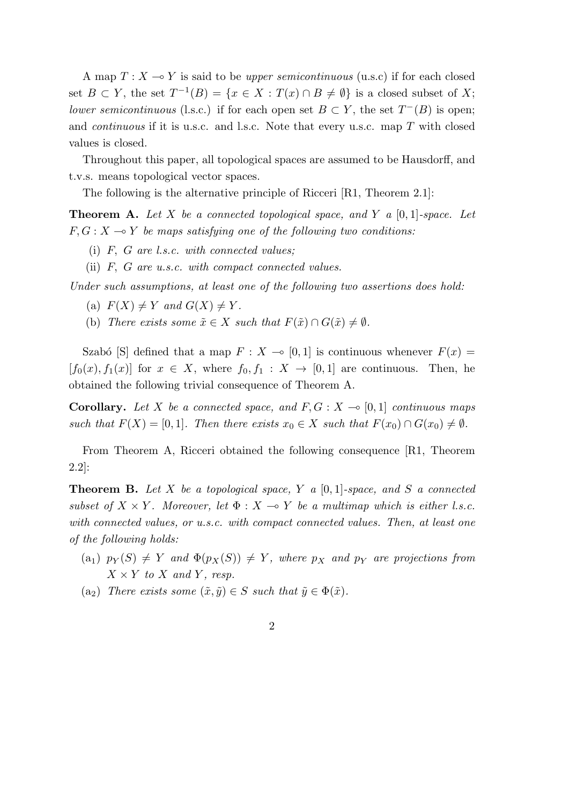A map  $T: X \longrightarrow Y$  is said to be *upper semicontinuous* (u.s.c) if for each closed set  $B \subset Y$ , the set  $T^{-1}(B) = \{x \in X : T(x) \cap B \neq \emptyset\}$  is a closed subset of X; *lower semicontinuous* (l.s.c.) if for each open set  $B \subset Y$ , the set  $T^{-}(B)$  is open; and *continuous* if it is u.s.c. and l.s.c. Note that every u.s.c. map *T* with closed values is closed.

Throughout this paper, all topological spaces are assumed to be Hausdorff, and t.v.s. means topological vector spaces.

The following is the alternative principle of Ricceri [R1, Theorem 2.1]:

**Theorem A.** *Let X be a connected topological space, and Y a* [0*,* 1]*-space. Let*  $F, G: X \rightarrow Y$  *be maps satisfying one of the following two conditions:* 

- (i) *F, G are l.s.c. with connected values;*
- (ii) *F, G are u.s.c. with compact connected values.*

*Under such assumptions, at least one of the following two assertions does hold:*

- $F(X) \neq Y$  and  $G(X) \neq Y$ .
- (b) *There exists some*  $\tilde{x} \in X$  *such that*  $F(\tilde{x}) \cap G(\tilde{x}) \neq \emptyset$ *.*

Szabó [S] defined that a map  $F: X \to [0, 1]$  is continuous whenever  $F(x) =$  $[f_0(x), f_1(x)]$  for  $x \in X$ , where  $f_0, f_1 : X \to [0,1]$  are continuous. Then, he obtained the following trivial consequence of Theorem A.

**Corollary.** Let X be a connected space, and  $F, G: X \to [0,1]$  continuous maps *such that*  $F(X) = [0, 1]$ *. Then there exists*  $x_0 \in X$  *such that*  $F(x_0) \cap G(x_0) \neq \emptyset$ *.* 

From Theorem A, Ricceri obtained the following consequence [R1, Theorem 2.2]:

**Theorem B.** *Let X be a topological space, Y a* [0*,* 1]*-space, and S a connected subset of*  $X \times Y$ *. Moreover, let*  $\Phi : X \to Y$  *be a multimap which is either l.s.c. with connected values, or u.s.c. with compact connected values. Then, at least one of the following holds:*

- $p_Y(S) \neq Y$  *and*  $\Phi(p_X(S)) \neq Y$ *, where*  $p_X$  *and*  $p_Y$  *are projections from*  $X \times Y$  *to*  $X$  *and*  $Y$ *, resp.*
- $(a_2)$  *There exists some*  $(\tilde{x}, \tilde{y}) \in S$  *such that*  $\tilde{y} \in \Phi(\tilde{x})$ *.*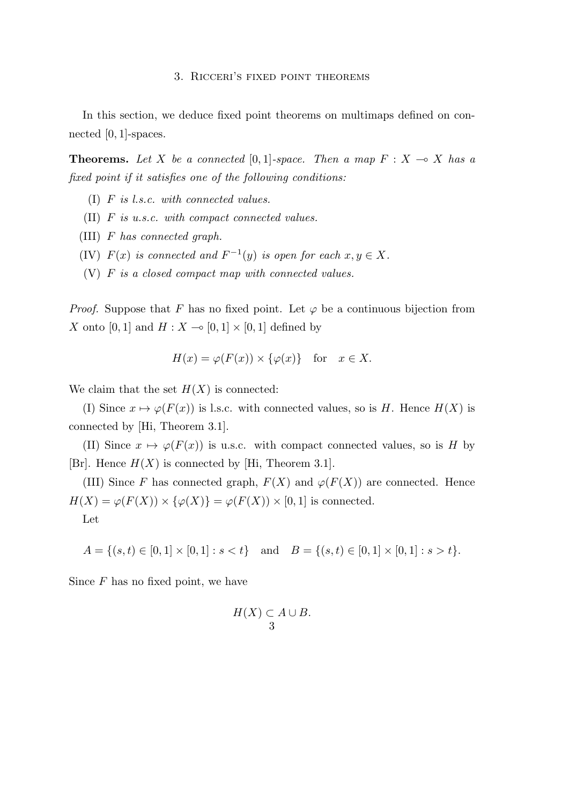#### 3. Ricceri's fixed point theorems

In this section, we deduce fixed point theorems on multimaps defined on connected [0*,* 1]-spaces.

**Theorems.** Let *X* be a connected  $[0,1]$ -space. Then a map  $F: X \to X$  has a *fixed point if it satisfies one of the following conditions:*

- (I) *F is l.s.c. with connected values.*
- (II) *F is u.s.c. with compact connected values.*
- (III) *F has connected graph.*
- (IV)  $F(x)$  *is connected and*  $F^{-1}(y)$  *is open for each*  $x, y \in X$ *.*
- (V) *F is a closed compact map with connected values.*

*Proof.* Suppose that *F* has no fixed point. Let  $\varphi$  be a continuous bijection from *X* onto [0, 1] and  $H: X \to [0,1] \times [0,1]$  defined by

$$
H(x) = \varphi(F(x)) \times \{\varphi(x)\} \text{ for } x \in X.
$$

We claim that the set  $H(X)$  is connected:

(I) Since  $x \mapsto \varphi(F(x))$  is l.s.c. with connected values, so is *H*. Hence  $H(X)$  is connected by [Hi, Theorem 3.1].

(II) Since  $x \mapsto \varphi(F(x))$  is u.s.c. with compact connected values, so is *H* by [Br]. Hence  $H(X)$  is connected by [Hi, Theorem 3.1].

(III) Since *F* has connected graph,  $F(X)$  and  $\varphi(F(X))$  are connected. Hence  $H(X) = \varphi(F(X)) \times \{\varphi(X)\} = \varphi(F(X)) \times [0,1]$  is connected.

Let

$$
A = \{(s, t) \in [0, 1] \times [0, 1] : s < t\} \text{ and } B = \{(s, t) \in [0, 1] \times [0, 1] : s > t\}.
$$

Since *F* has no fixed point, we have

$$
H(X) \subset A \cup B.
$$
3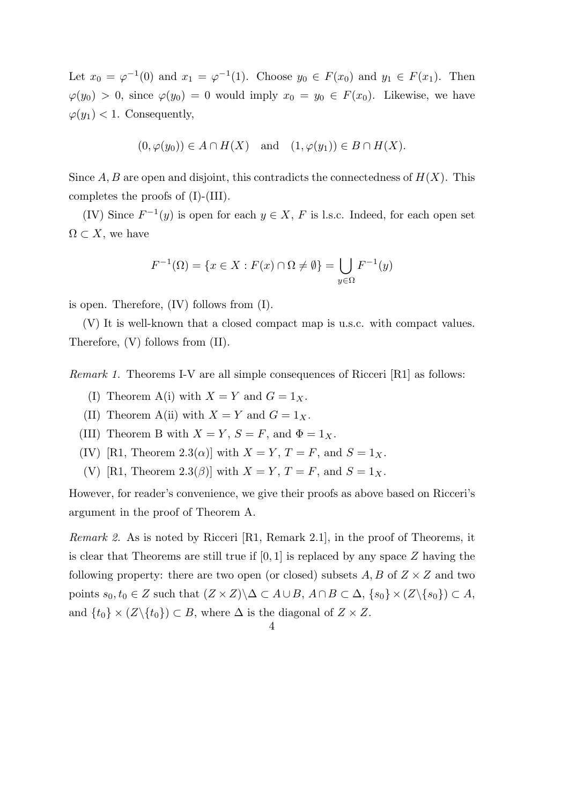Let  $x_0 = \varphi^{-1}(0)$  and  $x_1 = \varphi^{-1}(1)$ . Choose  $y_0 \in F(x_0)$  and  $y_1 \in F(x_1)$ . Then  $\varphi(y_0) > 0$ , since  $\varphi(y_0) = 0$  would imply  $x_0 = y_0 \in F(x_0)$ . Likewise, we have  $\varphi(y_1)$  < 1. Consequently,

$$
(0, \varphi(y_0)) \in A \cap H(X)
$$
 and  $(1, \varphi(y_1)) \in B \cap H(X)$ .

Since  $A, B$  are open and disjoint, this contradicts the connectedness of  $H(X)$ . This completes the proofs of (I)-(III).

(IV) Since  $F^{-1}(y)$  is open for each  $y \in X$ , F is l.s.c. Indeed, for each open set  $\Omega \subset X$ , we have

$$
F^{-1}(\Omega) = \{ x \in X : F(x) \cap \Omega \neq \emptyset \} = \bigcup_{y \in \Omega} F^{-1}(y)
$$

is open. Therefore, (IV) follows from (I).

(V) It is well-known that a closed compact map is u.s.c. with compact values. Therefore, (V) follows from (II).

*Remark 1.* Theorems I-V are all simple consequences of Ricceri [R1] as follows:

- (I) Theorem A(i) with  $X = Y$  and  $G = 1_X$ .
- (II) Theorem A(ii) with  $X = Y$  and  $G = 1_X$ .
- (III) Theorem B with  $X = Y$ ,  $S = F$ , and  $\Phi = 1_X$ .
- (IV) [R1, Theorem 2.3( $\alpha$ )] with  $X = Y$ ,  $T = F$ , and  $S = 1_X$ .
- (V) [R1, Theorem 2.3( $\beta$ )] with  $X = Y, T = F$ , and  $S = 1_X$ .

However, for reader's convenience, we give their proofs as above based on Ricceri's argument in the proof of Theorem A.

*Remark 2.* As is noted by Ricceri [R1, Remark 2.1], in the proof of Theorems, it is clear that Theorems are still true if [0*,* 1] is replaced by any space *Z* having the following property: there are two open (or closed) subsets  $A, B$  of  $Z \times Z$  and two points  $s_0, t_0 \in Z$  such that  $(Z \times Z) \backslash \Delta \subset A \cup B$ ,  $A \cap B \subset \Delta$ ,  $\{s_0\} \times (Z \backslash \{s_0\}) \subset A$ , and  $\{t_0\} \times (Z \setminus \{t_0\}) \subset B$ , where  $\Delta$  is the diagonal of  $Z \times Z$ .

<sup>4</sup>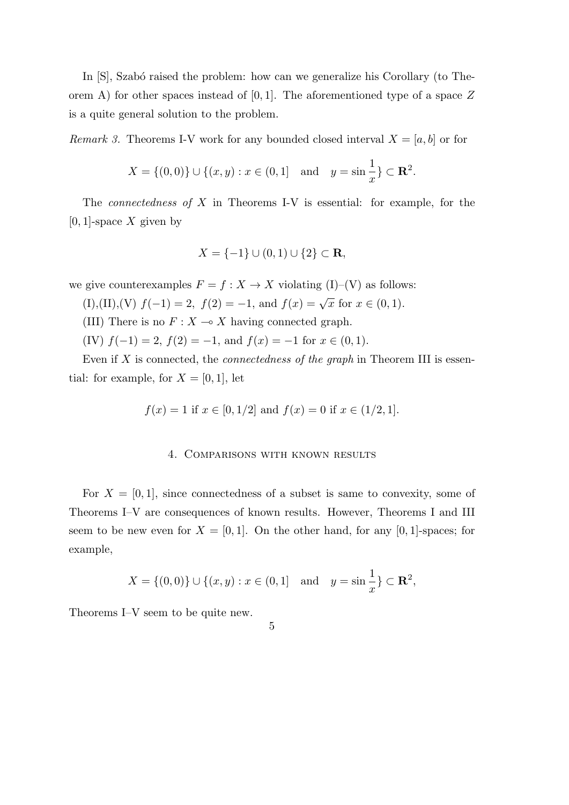In  $[S]$ , Szabó raised the problem: how can we generalize his Corollary (to Theorem A) for other spaces instead of [0*,* 1]. The aforementioned type of a space *Z* is a quite general solution to the problem.

*Remark 3.* Theorems I-V work for any bounded closed interval  $X = [a, b]$  or for

$$
X = \{(0,0)\} \cup \{(x,y) : x \in (0,1] \text{ and } y = \sin\frac{1}{x}\} \subset \mathbf{R}^2.
$$

The *connectedness of X* in Theorems I-V is essential: for example, for the [0*,* 1]-space *X* given by

$$
X = \{-1\} \cup (0,1) \cup \{2\} \subset \mathbf{R},
$$

we give counterexamples  $F = f : X \to X$  violating (I)–(V) as follows:

- (I),(II),(V)  $f(-1) = 2$ ,  $f(2) = -1$ , and  $f(x) = \sqrt{x}$  for  $x \in (0, 1)$ .
- (III) There is no  $F: X \to X$  having connected graph.
- (IV)  $f(-1) = 2$ ,  $f(2) = -1$ , and  $f(x) = -1$  for  $x \in (0, 1)$ .

Even if *X* is connected, the *connectedness of the graph* in Theorem III is essential: for example, for  $X = [0, 1]$ , let

$$
f(x) = 1
$$
 if  $x \in [0, 1/2]$  and  $f(x) = 0$  if  $x \in (1/2, 1]$ .

# 4. Comparisons with known results

For  $X = [0, 1]$ , since connectedness of a subset is same to convexity, some of Theorems I–V are consequences of known results. However, Theorems I and III seem to be new even for  $X = [0, 1]$ . On the other hand, for any  $[0, 1]$ -spaces; for example,

$$
X = \{(0,0)\} \cup \{(x,y) : x \in (0,1] \text{ and } y = \sin\frac{1}{x}\} \subset \mathbf{R}^2,
$$

5

Theorems I–V seem to be quite new.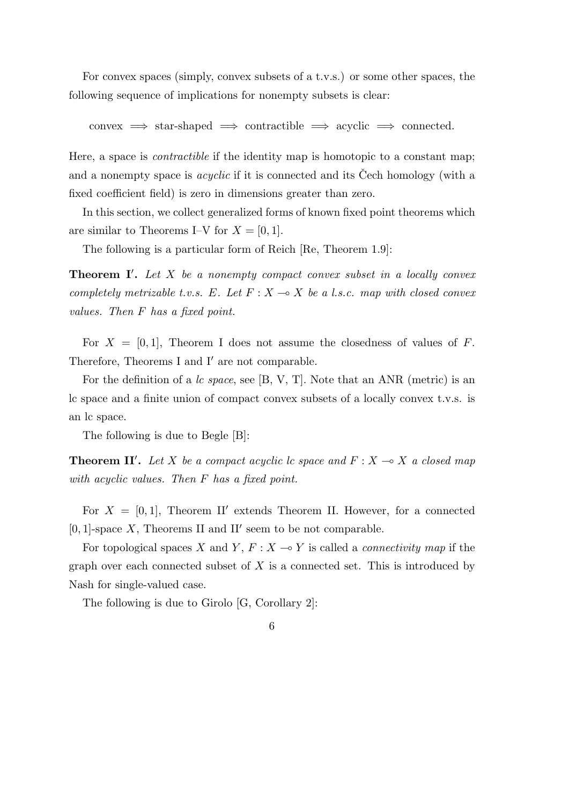For convex spaces (simply, convex subsets of a t.v.s.) or some other spaces, the following sequence of implications for nonempty subsets is clear:

 $\text{convex} \implies \text{star-shaped} \implies \text{contractible} \implies \text{acyclic} \implies \text{connected}.$ 

Here, a space is *contractible* if the identity map is homotopic to a constant map; and a nonempty space is *acyclic* if it is connected and its Cech homology (with a fixed coefficient field) is zero in dimensions greater than zero.

In this section, we collect generalized forms of known fixed point theorems which are similar to Theorems I–V for  $X = [0, 1]$ .

The following is a particular form of Reich [Re, Theorem 1.9]:

**Theorem I***′* **.** *Let X be a nonempty compact convex subset in a locally convex completely metrizable t.v.s.*  $E$ *. Let*  $F: X \to X$  *be a l.s.c. map with closed convex values. Then F has a fixed point.*

For  $X = [0, 1]$ , Theorem I does not assume the closedness of values of  $F$ . Therefore, Theorems I and I*′* are not comparable.

For the definition of a *lc space*, see [B, V, T]. Note that an ANR (metric) is an lc space and a finite union of compact convex subsets of a locally convex t.v.s. is an lc space.

The following is due to Begle [B]:

**Theorem II'.** Let *X* be a compact acyclic lc space and  $F: X \to X$  a closed map *with acyclic values. Then F has a fixed point.*

For  $X = [0, 1]$ , Theorem II' extends Theorem II. However, for a connected [0*,* 1]-space *X*, Theorems II and II*′* seem to be not comparable.

For topological spaces *X* and *Y*,  $F: X \to Y$  is called a *connectivity map* if the graph over each connected subset of *X* is a connected set. This is introduced by Nash for single-valued case.

The following is due to Girolo [G, Corollary 2]:

<sup>6</sup>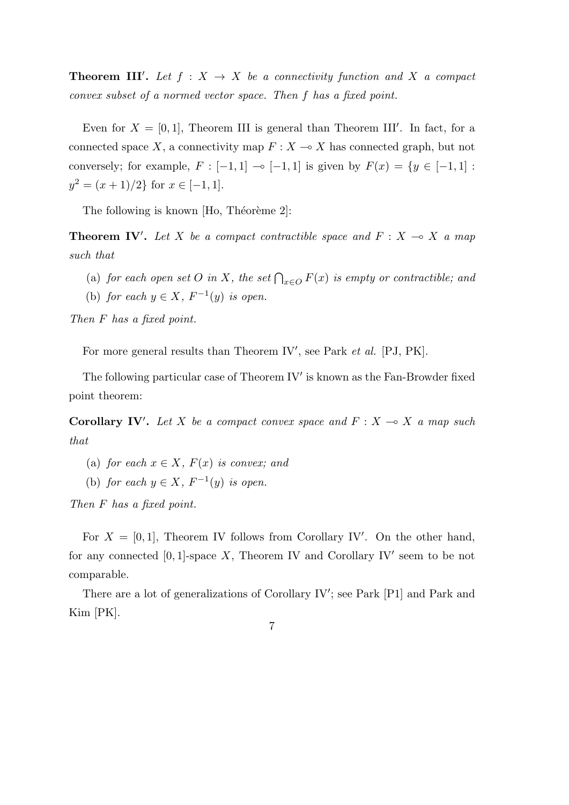**Theorem III'.** Let  $f: X \to X$  be a connectivity function and X a compact *convex subset of a normed vector space. Then f has a fixed point.*

Even for  $X = [0, 1]$ , Theorem III is general than Theorem III'. In fact, for a connected space *X*, a connectivity map  $F: X \to X$  has connected graph, but not conversely; for example,  $F : [-1, 1] \multimap [-1, 1]$  is given by  $F(x) = \{y \in [-1, 1] :$  $y^2 = (x+1)/2$ } for  $x \in [-1,1]$ .

The following is known  $[H_0, Théor\`eme 2]$ :

**Theorem IV'.** Let X be a compact contractible space and  $F: X \to X$  a map *such that*

- (a) *for each open set O in X*, *the set*  $\bigcap_{x \in O} F(x)$  *is empty or contractible; and*
- (b) *for each*  $y \in X$ ,  $F^{-1}(y)$  *is open.*

*Then F has a fixed point.*

For more general results than Theorem IV', see Park *et al.* [PJ, PK].

The following particular case of Theorem IV*′* is known as the Fan-Browder fixed point theorem:

**Corollary IV'.** Let *X* be a compact convex space and  $F: X \to X$  a map such *that*

- (a) *for each*  $x \in X$ *,*  $F(x)$  *is convex; and*
- (b) *for each*  $y \in X$ ,  $F^{-1}(y)$  *is open.*

*Then F has a fixed point.*

For  $X = [0, 1]$ , Theorem IV follows from Corollary IV'. On the other hand, for any connected [0*,* 1]-space *X*, Theorem IV and Corollary IV*′* seem to be not comparable.

There are a lot of generalizations of Corollary IV'; see Park [P1] and Park and Kim [PK].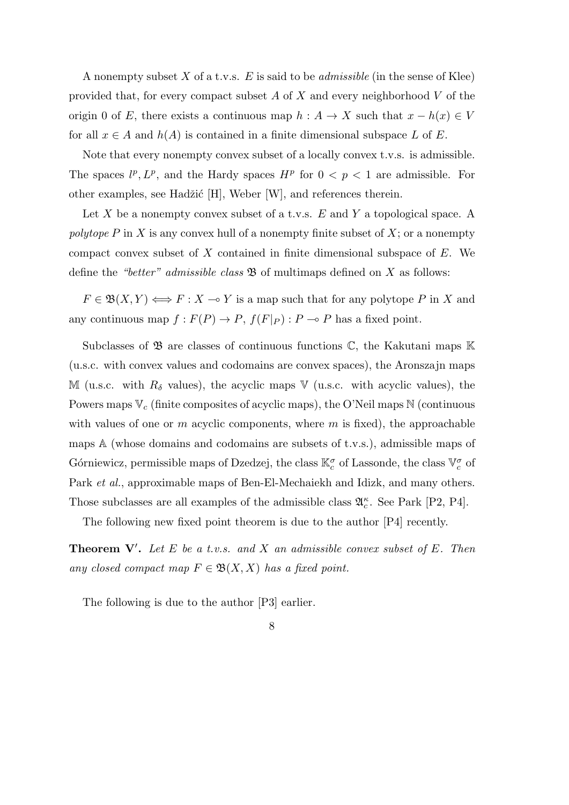A nonempty subset *X* of a t.v.s. *E* is said to be *admissible* (in the sense of Klee) provided that, for every compact subset *A* of *X* and every neighborhood *V* of the origin 0 of *E*, there exists a continuous map  $h : A \rightarrow X$  such that  $x - h(x) \in V$ for all  $x \in A$  and  $h(A)$  is contained in a finite dimensional subspace  $L$  of  $E$ .

Note that every nonempty convex subset of a locally convex t.v.s. is admissible. The spaces  $l^p, L^p$ , and the Hardy spaces  $H^p$  for  $0 < p < 1$  are admissible. For other examples, see Hadžić [H], Weber [W], and references therein.

Let *X* be a nonempty convex subset of a t.v.s. *E* and *Y* a topological space. A *polytope P* in *X* is any convex hull of a nonempty finite subset of *X*; or a nonempty compact convex subset of *X* contained in finite dimensional subspace of *E*. We define the *"better" admissible class* B of multimaps defined on *X* as follows:

 $F \in \mathfrak{B}(X, Y) \Longleftrightarrow F : X \multimap Y$  is a map such that for any polytope *P* in *X* and any continuous map  $f: F(P) \to P$ ,  $f(F|_P): P \to P$  has a fixed point.

Subclasses of  $\mathfrak{B}$  are classes of continuous functions  $\mathbb{C}$ , the Kakutani maps  $\mathbb K$ (u.s.c. with convex values and codomains are convex spaces), the Aronszajn maps M (u.s.c. with  $R_\delta$  values), the acyclic maps V (u.s.c. with acyclic values), the Powers maps  $\mathbb{V}_c$  (finite composites of acyclic maps), the O'Neil maps N (continuous with values of one or *m* acyclic components, where *m* is fixed), the approachable maps A (whose domains and codomains are subsets of t.v.s.), admissible maps of Górniewicz, permissible maps of Dzedzej, the class  $\mathbb{K}^{\sigma}_{c}$  of Lassonde, the class  $\mathbb{V}^{\sigma}_{c}$  of Park *et al.*, approximable maps of Ben-El-Mechaiekh and Idizk, and many others. Those subclasses are all examples of the admissible class  $\mathfrak{A}_{c}^{\kappa}$ . See Park [P2, P4].

The following new fixed point theorem is due to the author [P4] recently.

**Theorem V***′* **.** *Let E be a t.v.s. and X an admissible convex subset of E. Then any closed compact map*  $F \in \mathfrak{B}(X,X)$  *has a fixed point.* 

The following is due to the author [P3] earlier.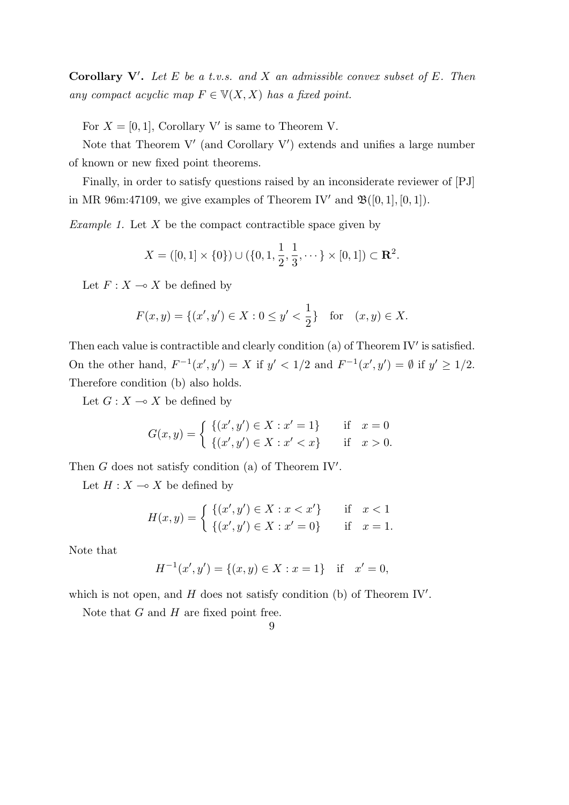**Corollary V***′* **.** *Let E be a t.v.s. and X an admissible convex subset of E. Then any compact acyclic map*  $F \in V(X, X)$  *has a fixed point.* 

For  $X = [0, 1]$ , Corollary V' is same to Theorem V.

Note that Theorem V' (and Corollary V') extends and unifies a large number of known or new fixed point theorems.

Finally, in order to satisfy questions raised by an inconsiderate reviewer of [PJ] in MR 96m:47109, we give examples of Theorem IV' and  $\mathfrak{B}([0,1],[0,1])$ .

*Example 1.* Let *X* be the compact contractible space given by

$$
X = ([0,1] \times \{0\}) \cup (\{0,1,\frac{1}{2},\frac{1}{3},\cdots\} \times [0,1]) \subset \mathbf{R}^2.
$$

Let  $F: X \longrightarrow X$  be defined by

$$
F(x, y) = \{(x', y') \in X : 0 \le y' < \frac{1}{2}\} \text{ for } (x, y) \in X.
$$

Then each value is contractible and clearly condition (a) of Theorem IV*′* is satisfied. On the other hand,  $F^{-1}(x', y') = X$  if  $y' < 1/2$  and  $F^{-1}(x', y') = \emptyset$  if  $y' \ge 1/2$ . Therefore condition (b) also holds.

Let  $G: X \longrightarrow X$  be defined by

$$
G(x,y) = \begin{cases} \{(x',y') \in X : x' = 1\} & \text{if } x = 0\\ \{(x',y') \in X : x' < x\} & \text{if } x > 0. \end{cases}
$$

Then *G* does not satisfy condition (a) of Theorem IV*′* .

Let  $H: X \longrightarrow X$  be defined by

$$
H(x,y) = \begin{cases} \{(x',y') \in X : x < x'\} & \text{if } x < 1\\ \{(x',y') \in X : x' = 0\} & \text{if } x = 1. \end{cases}
$$

Note that

$$
H^{-1}(x',y') = \{(x,y) \in X : x = 1\} \text{ if } x' = 0,
$$

which is not open, and *H* does not satisfy condition (b) of Theorem IV*′* .

Note that *G* and *H* are fixed point free.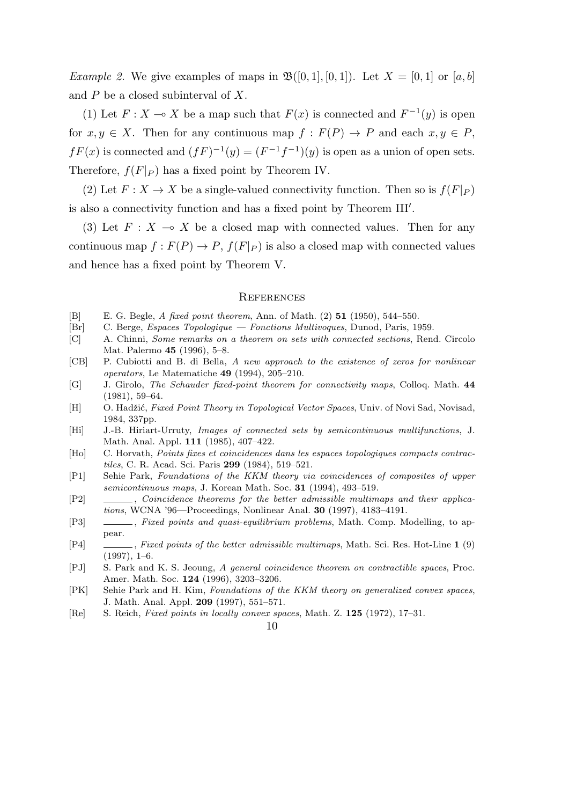*Example 2.* We give examples of maps in  $\mathfrak{B}([0,1], [0,1])$ . Let  $X = [0,1]$  or [a, b] and *P* be a closed subinterval of *X*.

(1) Let  $F: X \to X$  be a map such that  $F(x)$  is connected and  $F^{-1}(y)$  is open for  $x, y \in X$ . Then for any continuous map  $f : F(P) \to P$  and each  $x, y \in P$ ,  $fF(x)$  is connected and  $(fF)^{-1}(y) = (F^{-1}f^{-1})(y)$  is open as a union of open sets. Therefore,  $f(F|_P)$  has a fixed point by Theorem IV.

(2) Let  $F: X \to X$  be a single-valued connectivity function. Then so is  $f(F|_P)$ is also a connectivity function and has a fixed point by Theorem III*′* .

(3) Let  $F: X \to X$  be a closed map with connected values. Then for any continuous map  $f: F(P) \to P$ ,  $f(F|_P)$  is also a closed map with connected values and hence has a fixed point by Theorem V.

#### **REFERENCES**

- [B] E. G. Begle, *A fixed point theorem*, Ann. of Math. (2) **51** (1950), 544–550.
- [Br] C. Berge, *Espaces Topologique Fonctions Multivoques*, Dunod, Paris, 1959.
- [C] A. Chinni, *Some remarks on a theorem on sets with connected sections*, Rend. Circolo Mat. Palermo **45** (1996), 5–8.
- [CB] P. Cubiotti and B. di Bella, *A new approach to the existence of zeros for nonlinear operators*, Le Matematiche **49** (1994), 205–210.
- [G] J. Girolo, *The Schauder fixed-point theorem for connectivity maps*, Colloq. Math. **44** (1981), 59–64.
- [H] O. Hadžić, *Fixed Point Theory in Topological Vector Spaces*, Univ. of Novi Sad, Novisad, 1984, 337pp.
- [Hi] J.-B. Hiriart-Urruty, *Images of connected sets by semicontinuous multifunctions*, J. Math. Anal. Appl. **111** (1985), 407–422.
- [Ho] C. Horvath, *Points fixes et coincidences dans les espaces topologiques compacts contractiles*, C. R. Acad. Sci. Paris **299** (1984), 519–521.
- [P1] Sehie Park, *Foundations of the KKM theory via coincidences of composites of upper semicontinuous maps*, J. Korean Math. Soc. **31** (1994), 493–519.
- [P2] , *Coincidence theorems for the better admissible multimaps and their applications*, WCNA '96—Proceedings, Nonlinear Anal. **30** (1997), 4183–4191.
- [P3] , *Fixed points and quasi-equilibrium problems*, Math. Comp. Modelling, to appear.
- [P4] , *Fixed points of the better admissible multimaps*, Math. Sci. Res. Hot-Line **1** (9) (1997), 1–6.
- [PJ] S. Park and K. S. Jeoung, *A general coincidence theorem on contractible spaces*, Proc. Amer. Math. Soc. **124** (1996), 3203–3206.
- [PK] Sehie Park and H. Kim, *Foundations of the KKM theory on generalized convex spaces*, J. Math. Anal. Appl. **209** (1997), 551–571.
- [Re] S. Reich, *Fixed points in locally convex spaces*, Math. Z. **125** (1972), 17–31.